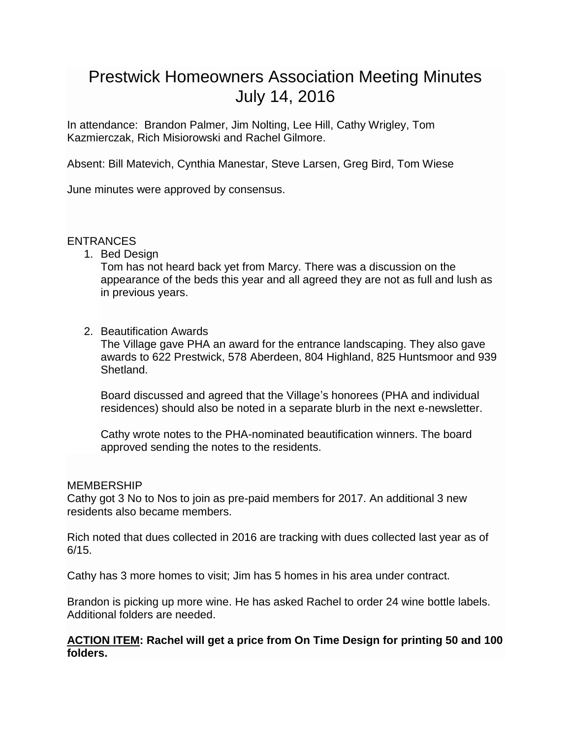# Prestwick Homeowners Association Meeting Minutes July 14, 2016

In attendance: Brandon Palmer, Jim Nolting, Lee Hill, Cathy Wrigley, Tom Kazmierczak, Rich Misiorowski and Rachel Gilmore.

Absent: Bill Matevich, Cynthia Manestar, Steve Larsen, Greg Bird, Tom Wiese

June minutes were approved by consensus.

# ENTRANCES

1. Bed Design

Tom has not heard back yet from Marcy. There was a discussion on the appearance of the beds this year and all agreed they are not as full and lush as in previous years.

# 2. Beautification Awards

The Village gave PHA an award for the entrance landscaping. They also gave awards to 622 Prestwick, 578 Aberdeen, 804 Highland, 825 Huntsmoor and 939 Shetland.

Board discussed and agreed that the Village's honorees (PHA and individual residences) should also be noted in a separate blurb in the next e-newsletter.

Cathy wrote notes to the PHA-nominated beautification winners. The board approved sending the notes to the residents.

#### MEMBERSHIP

Cathy got 3 No to Nos to join as pre-paid members for 2017. An additional 3 new residents also became members.

Rich noted that dues collected in 2016 are tracking with dues collected last year as of 6/15.

Cathy has 3 more homes to visit; Jim has 5 homes in his area under contract.

Brandon is picking up more wine. He has asked Rachel to order 24 wine bottle labels. Additional folders are needed.

# **ACTION ITEM: Rachel will get a price from On Time Design for printing 50 and 100 folders.**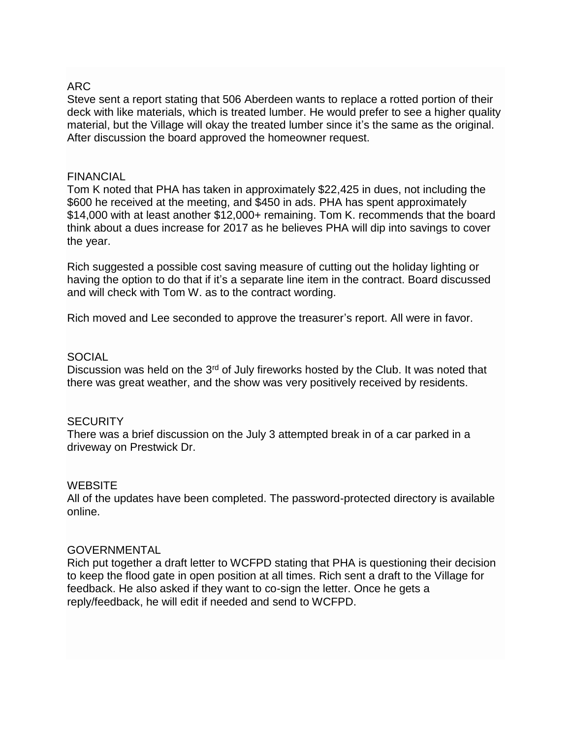# ARC

Steve sent a report stating that 506 Aberdeen wants to replace a rotted portion of their deck with like materials, which is treated lumber. He would prefer to see a higher quality material, but the Village will okay the treated lumber since it's the same as the original. After discussion the board approved the homeowner request.

#### FINANCIAL

Tom K noted that PHA has taken in approximately \$22,425 in dues, not including the \$600 he received at the meeting, and \$450 in ads. PHA has spent approximately \$14,000 with at least another \$12,000+ remaining. Tom K. recommends that the board think about a dues increase for 2017 as he believes PHA will dip into savings to cover the year.

Rich suggested a possible cost saving measure of cutting out the holiday lighting or having the option to do that if it's a separate line item in the contract. Board discussed and will check with Tom W. as to the contract wording.

Rich moved and Lee seconded to approve the treasurer's report. All were in favor.

#### SOCIAL

Discussion was held on the 3<sup>rd</sup> of July fireworks hosted by the Club. It was noted that there was great weather, and the show was very positively received by residents.

#### **SECURITY**

There was a brief discussion on the July 3 attempted break in of a car parked in a driveway on Prestwick Dr.

#### **WEBSITE**

All of the updates have been completed. The password-protected directory is available online.

#### GOVERNMENTAL

Rich put together a draft letter to WCFPD stating that PHA is questioning their decision to keep the flood gate in open position at all times. Rich sent a draft to the Village for feedback. He also asked if they want to co-sign the letter. Once he gets a reply/feedback, he will edit if needed and send to WCFPD.